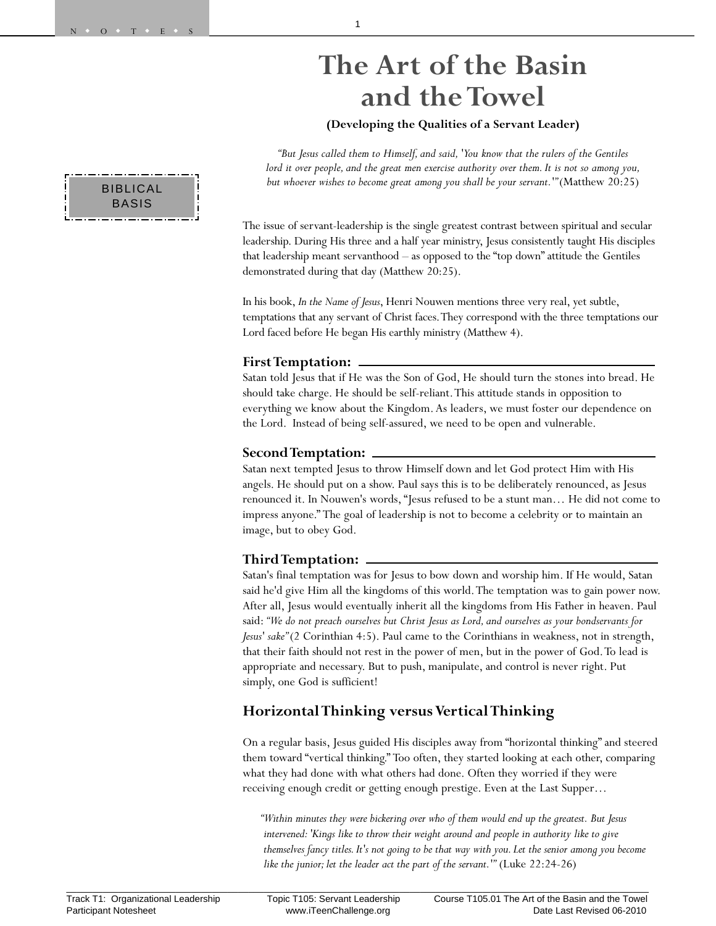# **The Art of the Basin and the Towel**

#### **(Developing the Qualities of a Servant Leader)**

*"But Jesus called them to Himself, and said, 'You know that the rulers of the Gentiles lord it over people, and the great men exercise authority over them. It is not so among you, but whoever wishes to become great among you shall be your servant.'"*(Matthew 20:25)

The issue of servant-leadership is the single greatest contrast between spiritual and secular leadership. During His three and a half year ministry, Jesus consistently taught His disciples that leadership meant servanthood – as opposed to the "top down" attitude the Gentiles demonstrated during that day (Matthew 20:25).

In his book, *In the Name of Jesus*, Henri Nouwen mentions three very real, yet subtle, temptations that any servant of Christ faces.They correspond with the three temptations our Lord faced before He began His earthly ministry (Matthew 4).

#### **First Temptation:**

Satan told Jesus that if He was the Son of God, He should turn the stones into bread. He should take charge. He should be self-reliant.This attitude stands in opposition to everything we know about the Kingdom. As leaders, we must foster our dependence on the Lord. Instead of being self-assured, we need to be open and vulnerable.

#### **Second Temptation:**

Satan next tempted Jesus to throw Himself down and let God protect Him with His angels. He should put on a show. Paul says this is to be deliberately renounced, as Jesus renounced it. In Nouwen's words, "Jesus refused to be a stunt man… He did not come to impress anyone." The goal of leadership is not to become a celebrity or to maintain an image, but to obey God.

#### **Third Temptation:**

Satan's final temptation was for Jesus to bow down and worship him. If He would, Satan said he'd give Him all the kingdoms of this world.The temptation was to gain power now. After all, Jesus would eventually inherit all the kingdoms from His Father in heaven. Paul said: *"We do not preach ourselves but Christ Jesus as Lord, and ourselves as your bondservants for Jesus' sake"*(2 Corinthian 4:5). Paul came to the Corinthians in weakness, not in strength, that their faith should not rest in the power of men, but in the power of God.To lead is appropriate and necessary. But to push, manipulate, and control is never right. Put simply, one God is sufficient!

# **Horizontal Thinking versus Vertical Thinking**

On a regular basis, Jesus guided His disciples away from "horizontal thinking" and steered them toward "vertical thinking." Too often, they started looking at each other, comparing what they had done with what others had done. Often they worried if they were receiving enough credit or getting enough prestige. Even at the Last Supper…

*"Within minutes they were bickering over who of them would end up the greatest. But Jesus intervened: 'Kings like to throw their weight around and people in authority like to give themselves fancy titles. It's not going to be that way with you. Let the senior among you become like the junior; let the leader act the part of the servant.'"* (Luke 22:24-26)

BIBLICAL BASIS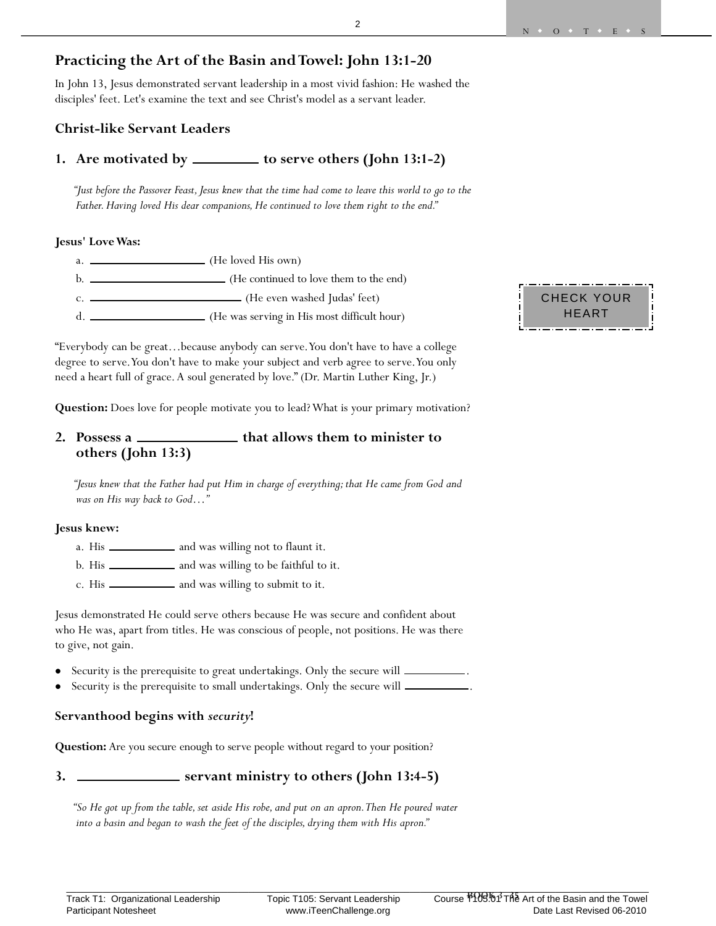# **Practicing the Art of the Basin and Towel: John 13:1-20**

In John 13, Jesus demonstrated servant leadership in a most vivid fashion: He washed the disciples' feet. Let's examine the text and see Christ's model as a servant leader.

# **Christ-like Servant Leaders**

**1.** Are motivated by \_\_\_\_\_\_\_\_ to serve others (John 13:1-2)

*"Just before the Passover Feast, Jesus knew that the time had come to leave this world to go to the Father. Having loved His dear companions, He continued to love them right to the end."*

# **Jesus' Love Was:**

- a. (He loved His own) b. (He continued to love them to the end)
- c. (He even washed Judas' feet)
- d. (He was serving in His most difficult hour)

"Everybody can be great…because anybody can serve.You don't have to have a college degree to serve.You don't have to make your subject and verb agree to serve.You only need a heart full of grace. A soul generated by love." (Dr. Martin Luther King, Jr.)

**Question:** Does love for people motivate you to lead? What is your primary motivation?

# **2. Possess a that allows them to minister to others (John 13:3)**

*"Jesus knew that the Father had put Him in charge of everything; that He came from God and was on His way back to God…"*

# **Jesus knew:**

- a. His \_\_\_\_\_\_\_\_\_\_\_\_ and was willing not to flaunt it.
- b. His \_\_\_\_\_\_\_\_\_ and was willing to be faithful to it.
- c. His \_\_\_\_\_\_\_\_\_ and was willing to submit to it.

Jesus demonstrated He could serve others because He was secure and confident about who He was, apart from titles. He was conscious of people, not positions. He was there to give, not gain.

- Security is the prerequisite to great undertakings. Only the secure will  $\_\_$
- Security is the prerequisite to small undertakings. Only the secure will  $\_\_$

# **Servanthood begins with** *security***!**

**Question:** Are you secure enough to serve people without regard to your position?

# **3. servant ministry to others (John 13:4-5)**

*"So He got up from the table, set aside His robe, and put on an apron.Then He poured water into a basin and began to wash the feet of the disciples, drying them with His apron."*



2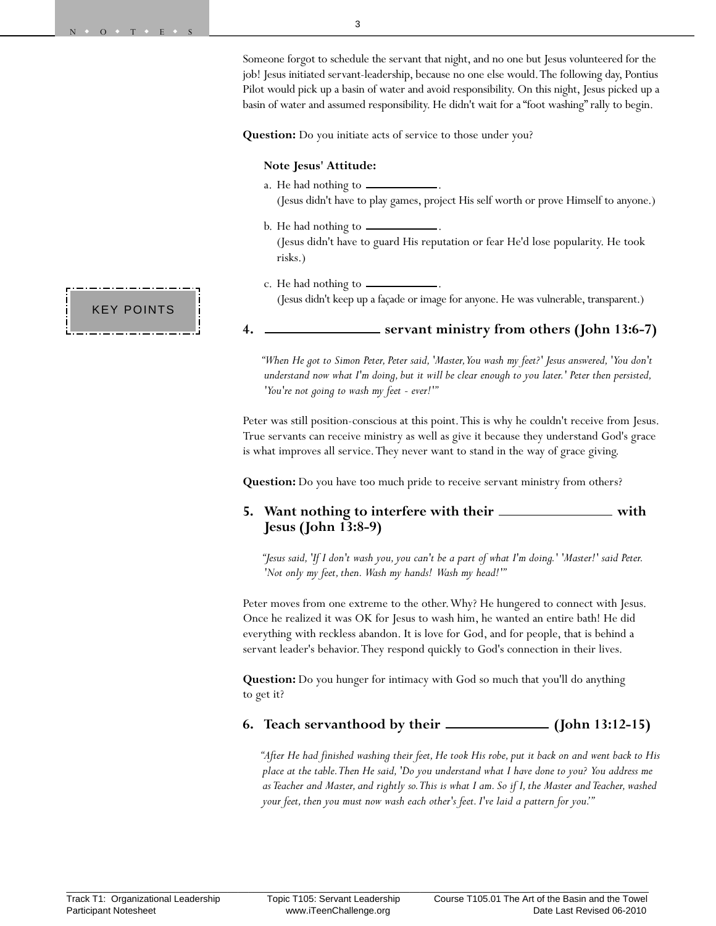Someone forgot to schedule the servant that night, and no one but Jesus volunteered for the job! Jesus initiated servant-leadership, because no one else would.The following day, Pontius Pilot would pick up a basin of water and avoid responsibility. On this night, Jesus picked up a basin of water and assumed responsibility. He didn't wait for a "foot washing" rally to begin.

**Question:** Do you initiate acts of service to those under you?

#### **Note Jesus' Attitude:**

- a. He had nothing to  $\overline{\phantom{a}}$ (Jesus didn't have to play games, project His self worth or prove Himself to anyone.)
- b. He had nothing to  $\overline{\phantom{a}}$ (Jesus didn't have to guard His reputation or fear He'd lose popularity. He took risks.)
- c. He had nothing to  $\equiv$ (Jesus didn't keep up a façade or image for anyone. He was vulnerable, transparent.)

#### **4. servant ministry from others (John 13:6-7)**

*"When He got to Simon Peter, Peter said, 'Master,You wash my feet?' Jesus answered, ' You don't understand now what I'm doing, but it will be clear enough to you later.' Peter then persisted, 'You're not going to wash my feet - ever!'"*

Peter was still position-conscious at this point.This is why he couldn't receive from Jesus. True servants can receive ministry as well as give it because they understand God's grace is what improves all service.They never want to stand in the way of grace giving.

**Question:** Do you have too much pride to receive servant ministry from others?

### **5.** Want nothing to interfere with their  $\frac{1}{\sqrt{1-\frac{1}{\sqrt{1-\frac{1}{\sqrt{1-\frac{1}{\sqrt{1-\frac{1}{\sqrt{1-\frac{1}{\sqrt{1-\frac{1}{\sqrt{1-\frac{1}{\sqrt{1-\frac{1}{\sqrt{1-\frac{1}{\sqrt{1-\frac{1}{\sqrt{1-\frac{1}{\sqrt{1-\frac{1}{\sqrt{1-\frac{1}{\sqrt{1-\frac{1}{\sqrt{1-\frac{1}{\sqrt{1-\frac{1}{\sqrt{1-\frac{1}{\sqrt{1-\frac{1}{\sqrt{1-\frac{1}{\sqrt{$ **Jesus (John 13:8-9)**

*"Jesus said, 'If I don't wash you, you can't be a part of what I'm doing.' 'Master!' said Peter. 'Not only my feet, then. Wash my hands! Wash my head!'"*

Peter moves from one extreme to the other.Why? He hungered to connect with Jesus. Once he realized it was OK for Jesus to wash him, he wanted an entire bath! He did everything with reckless abandon. It is love for God, and for people, that is behind a servant leader's behavior.They respond quickly to God's connection in their lives.

**Question:** Do you hunger for intimacy with God so much that you'll do anything to get it?

#### **6. Teach servanthood by their (John 13:12-15)**

*"After He had finished washing their feet, He took His robe, put it back on and went back to His place at the table.Then He said, 'Do you understand what I have done to you? You address me as Teacher and Master, and rightly so.This is what I am. So if I, the Master and Teacher, washed your feet, then you must now wash each other's feet. I've laid a pattern for you.'"*

# KEY POINTS

**Track T1: Organizational Leadership**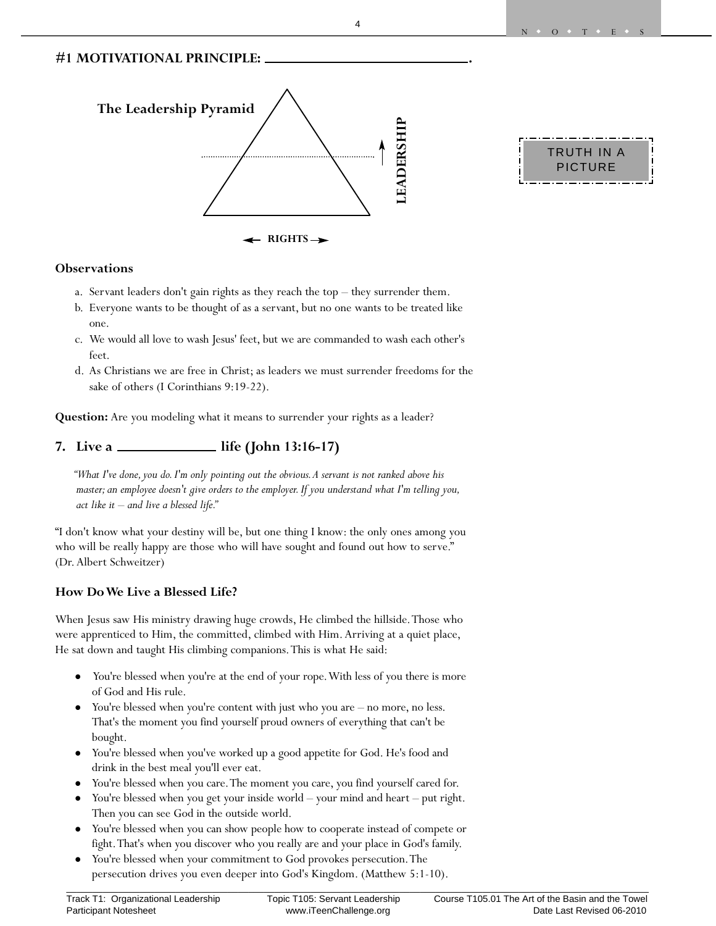### **#1 MOTIVATIONAL PRINCIPLE: .**





#### **Observations**

- a. Servant leaders don't gain rights as they reach the top they surrender them.
- b. Everyone wants to be thought of as a servant, but no one wants to be treated like one.
- c. We would all love to wash Jesus' feet, but we are commanded to wash each other's feet.
- d. As Christians we are free in Christ; as leaders we must surrender freedoms for the sake of others (I Corinthians 9:19-22).

**Question:** Are you modeling what it means to surrender your rights as a leader?

# **7. Live a life (John 13:16-17)**

*"What I've done, you do. I'm only pointing out the obvious.A servant is not ranked above his master; an employee doesn't give orders to the employer. If you understand what I'm telling you, act like it – and live a blessed life."*

"I don't know what your destiny will be, but one thing I know: the only ones among you who will be really happy are those who will have sought and found out how to serve." (Dr. Albert Schweitzer)

#### **How Do We Live a Blessed Life?**

When Jesus saw His ministry drawing huge crowds, He climbed the hillside. Those who were apprenticed to Him, the committed, climbed with Him. Arriving at a quiet place, He sat down and taught His climbing companions.This is what He said:

- You're blessed when you're at the end of your rope. With less of you there is more of God and His rule.
- You're blessed when you're content with just who you are no more, no less. That's the moment you find yourself proud owners of everything that can't be bought.
- You're blessed when you've worked up a good appetite for God. He's food and drink in the best meal you'll ever eat.
- You're blessed when you care. The moment you care, you find yourself cared for.
- You're blessed when you get your inside world your mind and heart put right. Then you can see God in the outside world.
- You're blessed when you can show people how to cooperate instead of compete or fight.That's when you discover who you really are and your place in God's family.
- You're blessed when your commitment to God provokes persecution. The persecution drives you even deeper into God's Kingdom. (Matthew 5:1-10).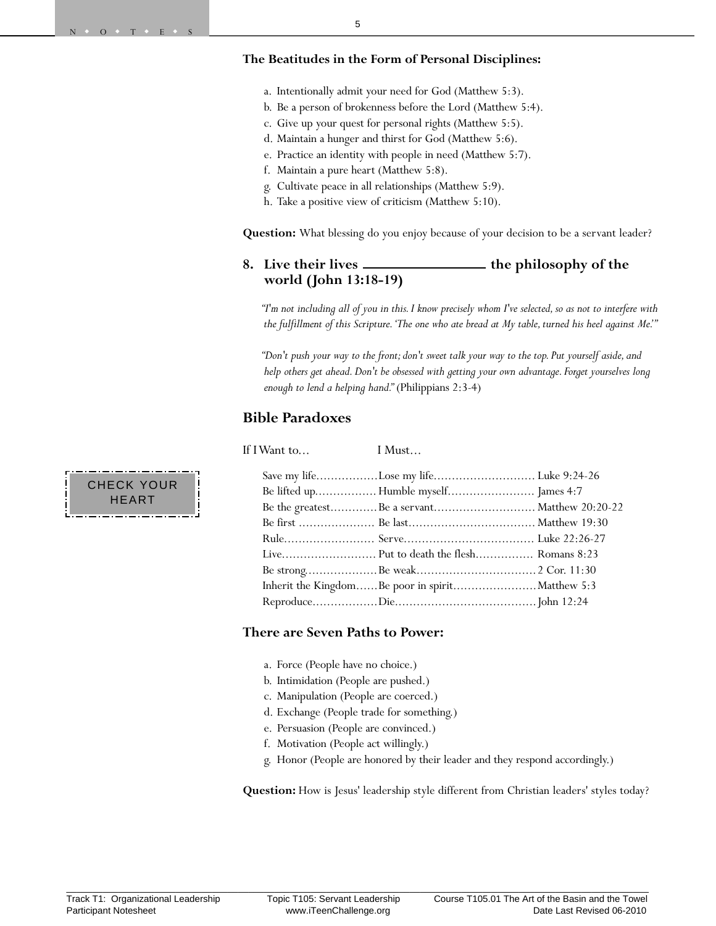#### **The Beatitudes in the Form of Personal Disciplines:**

- a. Intentionally admit your need for God (Matthew 5:3).
- b. Be a person of brokenness before the Lord (Matthew 5:4).
- c. Give up your quest for personal rights (Matthew 5:5).
- d. Maintain a hunger and thirst for God (Matthew 5:6).
- e. Practice an identity with people in need (Matthew 5:7).
- f. Maintain a pure heart (Matthew 5:8).
- g. Cultivate peace in all relationships (Matthew 5:9).
- h. Take a positive view of criticism (Matthew 5:10).

**Question:** What blessing do you enjoy because of your decision to be a servant leader?

#### **8.** Live their lives \_\_\_\_\_\_\_\_\_\_\_\_\_\_\_\_\_\_\_ the philosophy of the **world (John 13:18-19)**

*"I'm not including all of you in this. I know precisely whom I've selected, so as not to interfere with the fulfillment of this Scripture.'The one who ate bread at My table, turned his heel against Me.'"*

*"Don't push your way to the front; don't sweet talk your way to the top. Put yourself aside, and help others get ahead. Don't be obsessed with getting your own advantage. Forget yourselves long enough to lend a helping hand."* (Philippians 2:3-4)

## **Bible Paradoxes**

If I Want to... I Must...

| Save my lifeLose my life Luke 9:24-26           |  |
|-------------------------------------------------|--|
|                                                 |  |
|                                                 |  |
|                                                 |  |
|                                                 |  |
|                                                 |  |
|                                                 |  |
| Inherit the KingdomBe poor in spiritMatthew 5:3 |  |
|                                                 |  |
|                                                 |  |

#### **There are Seven Paths to Power:**

- a. Force (People have no choice.)
- b. Intimidation (People are pushed.)
- c. Manipulation (People are coerced.)
- d. Exchange (People trade for something.)
- e. Persuasion (People are convinced.)
- f. Motivation (People act willingly.)
- g. Honor (People are honored by their leader and they respond accordingly.)

**Question:** How is Jesus' leadership style different from Christian leaders' styles today?

CHECK YOUR **HEART** 

\_\_\_\_\_\_\_\_\_\_\_\_\_\_\_\_\_\_\_\_\_\_\_\_\_\_\_\_\_\_\_\_\_\_\_\_\_\_\_\_\_\_\_\_\_\_\_\_\_\_\_\_\_\_\_\_\_\_\_\_\_\_\_\_\_\_\_\_\_\_\_\_\_\_\_\_\_\_\_\_\_\_\_\_\_\_\_\_\_\_\_\_\_\_\_\_\_\_\_\_\_\_\_\_\_\_\_\_\_\_\_\_